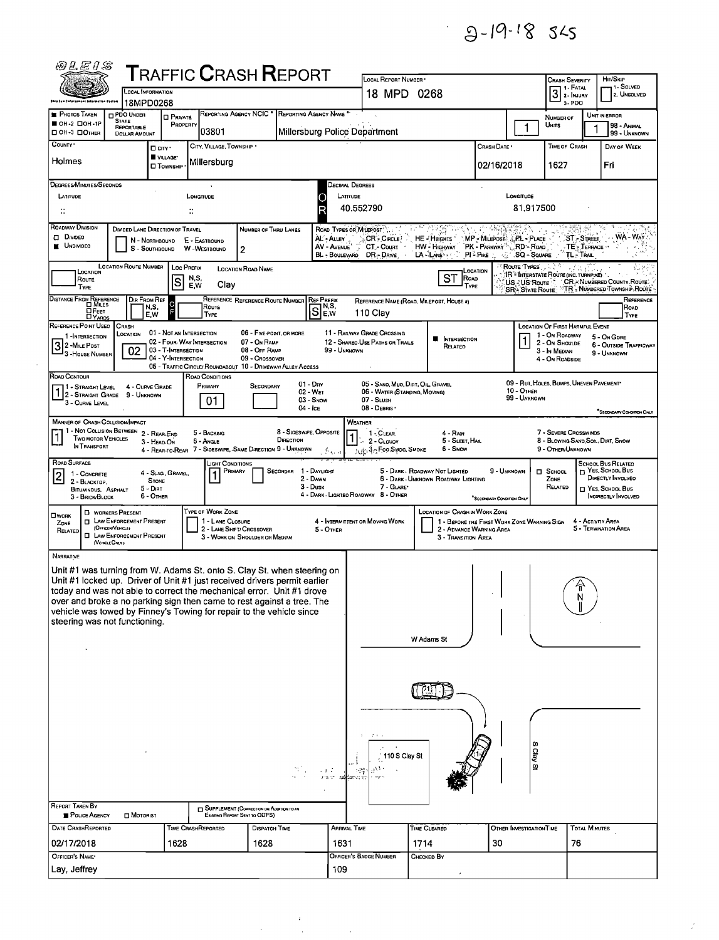$9 - 19 - 18$  545

| <i>@LEIS</i>                                                                                                                                       |                                                       |                                                   |                |                         | ${\sf T}$ RAFFIC ${\sf C}$ RASH ${\sf R}$ EPORT                               |                         |                              |                                                    |               |                                                                         |                                                   |                            |                                                         |                        |                                                            |
|----------------------------------------------------------------------------------------------------------------------------------------------------|-------------------------------------------------------|---------------------------------------------------|----------------|-------------------------|-------------------------------------------------------------------------------|-------------------------|------------------------------|----------------------------------------------------|---------------|-------------------------------------------------------------------------|---------------------------------------------------|----------------------------|---------------------------------------------------------|------------------------|------------------------------------------------------------|
|                                                                                                                                                    | <b>LOCAL INFORMATION</b>                              |                                                   |                |                         |                                                                               |                         |                              | LOCAL REPORT NUMBER<br>18 MPD 0268                 |               |                                                                         |                                                   |                            | Crash Severity<br>3 2- INJURY                           |                        | HIT/SKIP<br>1 - SOLVED<br>2. UNSOLVED                      |
| Low Saforesmont intermetti                                                                                                                         | 18MPD0268                                             |                                                   |                |                         |                                                                               |                         |                              |                                                    |               |                                                                         |                                                   |                            | 3-PDO                                                   |                        |                                                            |
| <b>PHOTOS TAKEN</b><br>OH-2 DOH-1P                                                                                                                 | PDO UNDER<br><b>STATE</b><br>REPORTABLE               | <b>O</b> PRIVATE<br>PROPERTY                      |                |                         | REPORTING AGENCY NCIC * REPORTING AGENCY NAME *                               |                         |                              |                                                    |               |                                                                         |                                                   | 1                          | NUMBER OF<br>UNITS                                      |                        | UNIT IN ERROR<br>98 - ANIMAL                               |
| OH-3 DOTHER                                                                                                                                        | <b>DOLLAR AMOUNT</b>                                  |                                                   |                | 03801                   |                                                                               |                         |                              | Millersburg Police Department                      |               |                                                                         |                                                   |                            |                                                         |                        | 99 - UNKNOWN                                               |
| COUNTY *                                                                                                                                           |                                                       | □ CITY *<br>VILLAGE*                              |                | CITY, VILLAGE, TOWNSHIP |                                                                               |                         |                              |                                                    |               |                                                                         | Crash Date *                                      |                            | <b>TIME OF CRASH</b>                                    |                        | DAY OF WEEK                                                |
| Holmes                                                                                                                                             |                                                       | <b>O</b> Township                                 |                | Millersburg             |                                                                               |                         |                              |                                                    |               |                                                                         | 02/16/2018                                        |                            | 1627                                                    |                        | Fri                                                        |
| DEGREES/MINUTES/SECONDS                                                                                                                            |                                                       |                                                   |                |                         |                                                                               |                         |                              | <b>DECIMAL DEGREES</b>                             |               |                                                                         |                                                   |                            |                                                         |                        |                                                            |
| LATITUDE                                                                                                                                           |                                                       |                                                   | LONGITUDE      |                         |                                                                               |                         |                              | LATITUDE                                           |               |                                                                         |                                                   | LONGITUDE                  |                                                         |                        |                                                            |
| $\mathbb{C}^*$                                                                                                                                     |                                                       |                                                   | $\mathbb{C}^*$ |                         |                                                                               |                         |                              | 40.552790                                          |               |                                                                         |                                                   | 81,917500                  |                                                         |                        |                                                            |
| ROADWAY DIVISION<br><b>O</b> Divideo                                                                                                               | DIVIDED LANE DIRECTION OF TRAVEL                      |                                                   |                |                         | NUMBER OF THRU LANES                                                          |                         | AL - ALLEY                   | ROAD TYPES OR MILEPOST"<br>CR - CIRCLE             |               | HE - HEIGHTS                                                            | MP - MILEPOST & PL - PLACE                        |                            |                                                         | <b>ST-STREET</b>       | WA - WAY                                                   |
| <b>UNDIVIDED</b>                                                                                                                                   | N - NORTHBOUND                                        | S - SOUTHBOUND                                    | E - EASTBOUND  | W-WESTBOUND             | 2                                                                             |                         | AV - AVENUE                  | CT-Count<br>BL - BOULEVARD DR - DRIVE              |               | HW - Highway<br>LA-LANE                                                 | PK - PARKWAY <sup>33</sup> , RD - ROAD<br>PI-Pike | .SQ - Souare               |                                                         | TE: TERRACE<br>TL-TRAL |                                                            |
|                                                                                                                                                    | <b>LOCATION ROUTE NUMBER</b>                          |                                                   | Loc PREFIX     |                         | <b>LOCATION ROAD NAME</b>                                                     |                         |                              |                                                    |               |                                                                         | LOCATION                                          | <b>ROUTE TYPES</b>         |                                                         |                        |                                                            |
| LOCATION<br>Route<br>TYPE                                                                                                                          |                                                       | S                                                 | N,S,<br>E W    | Clay                    |                                                                               |                         |                              |                                                    |               | <b>ST</b><br><b>ROAD</b><br>TYPE                                        |                                                   | US-US Route                | IR - INTERSTATE ROUTE (INC. TURNPIKE).                  |                        | CR. NUMBERED COUNTY ROUTE                                  |
| DISTANCE FROM REFERENCE                                                                                                                            | DIR FROM REF                                          |                                                   |                |                         | REFERENCE REFERENCE ROUTE NUMBER                                              |                         | <b>REF PREFIX</b>            |                                                    |               | REFERENCE NAME (ROAD, MILEPOST, HOUSE #)                                |                                                   |                            |                                                         |                        | SR - STATE ROUTE TR - NUMBERED TOWNSHIP ROUTE<br>REFERENCE |
| <b>DFEET</b><br><b>DYARDS</b>                                                                                                                      | N,S,<br>E,W                                           |                                                   |                | Route<br><b>TYPE</b>    |                                                                               |                         | $S_{\text{max}}^{NS}$<br>E,W | 110 Clay                                           |               |                                                                         |                                                   |                            |                                                         |                        | Road<br>TYPE                                               |
| REFERENCE POINT USEO<br>1-INTERSECTION                                                                                                             | CRASH<br>LOCATION                                     | 01 - NOT AN INTERSECTION                          |                |                         | 06 - FIVE-POINT OR MORE                                                       |                         |                              | 11 - RAILWAY GRADE CROSSING                        |               |                                                                         |                                                   |                            | LOCATION OF FIRST HARMFUL EVENT<br>1 - On ROADWAY       |                        | 5 - On Gore                                                |
| 2 - MILE POST                                                                                                                                      | 02                                                    | 02 - Four-WAY INTERSECTION<br>03 - T-INTERSECTION |                |                         | 07 - On RAMP<br>08 - Off RAMP                                                 |                         | 99 - Unknown                 | 12 - SHAREO-USE PATHS OR TRAILS                    |               | <b>NE INTERSECTION</b><br>RELATEO                                       |                                                   |                            | 2 - On Shoulde<br>3 - In Median                         |                        | <b>6 - OUTSIDE TRAFFICWAY</b>                              |
| <sup>1</sup> 3 - House Number                                                                                                                      |                                                       | 04 - Y-INTERSECTION                               |                |                         | 09 - Crossover<br>05 - TRAFFIC CIRCLE/ ROUNDABOUT 10 - DRIVEWAY/ ALLEY ACCESS |                         |                              |                                                    |               |                                                                         |                                                   |                            | 4 - On ROADSIDE                                         |                        | 9 - UNKNOWN                                                |
| ROAD CONTOUR                                                                                                                                       |                                                       |                                                   |                | ROAD CONDITIONS         |                                                                               |                         | $01 - \text{Dry}$            | 05 - SANO, MUO, DIRT, OIL, GRAVEL                  |               |                                                                         |                                                   |                            | 09 - RUT, HOLES, BUMPS, UNEVEN PAVEMENT                 |                        |                                                            |
| 71 - Straight Level<br>1 2 - STRAIGHT GRADE                                                                                                        | 4 - CURVE GRADE<br>9 - UNKNOWN                        |                                                   |                | PRIMARY                 | <b>SECONDARY</b>                                                              |                         | 02 - WET<br>$03 -$ Snow      | 06 - WATER (STANDING, MOVING)<br>07 - SLUSH        |               |                                                                         |                                                   | 10 - OTHER<br>99 - Unknown |                                                         |                        |                                                            |
| 3 - CURVE LEVEL                                                                                                                                    |                                                       |                                                   |                | 01                      |                                                                               |                         | 04 - Ice                     | 08 - DEBRIS -                                      |               |                                                                         |                                                   |                            |                                                         |                        | "SECONDARY CONDITION ONLY                                  |
| MANNER OF CRASH COLLISION/IMPACT                                                                                                                   | 1 - Not Collision Between 2 - Rear-End                |                                                   |                | 5 - BACKING             |                                                                               | 8 - SIDESWIPE, OPPOSITE |                              | WEATHER<br>$1 - C$ LEAR.                           |               | 4 - RAIN                                                                |                                                   |                            | 7 - SEVERE CROSSWINDS                                   |                        |                                                            |
| <b>TWO MOTOR VEHICLES</b><br>IN TRANSPORT                                                                                                          |                                                       | 3 - HEAD-ON                                       |                | 6 - Angle               | 4 - REAR-TO-REAR 7 - SIDESWIPE, SAME DIRECTION 9 - UNKNOWN                    | DIRECTION               |                              | $-2 -$ CLOUDY<br>Jub 3- Foo Swoo SMOKE             |               | 5 - SLEET, HAIL<br>6 - Snow                                             |                                                   |                            | 8 - BLOWING SANO, SOIL, DIRT, SNOW<br>9 - OTHER/UNKNOWN |                        |                                                            |
| ROAD SURFACE                                                                                                                                       |                                                       |                                                   |                | LIGHT CONDITIONS        |                                                                               |                         | . 5 c. a                     |                                                    |               |                                                                         |                                                   |                            |                                                         |                        | SCHOOL BUS RELATED                                         |
| 1 - CONCRETE<br>2 - BLACKTOP.                                                                                                                      |                                                       | 4 - SLAG, GRAVEL,<br><b>STONE</b>                 |                | PRIMARY                 |                                                                               | SECONDAR 1 - DAYLIGHT   | 2 - DAWN                     |                                                    |               | 5 - Dark - Roadway Not Lighted<br>6 - DARK - UNKNOWN ROADWAY LIGHTING   | 9 - UNKNOWN                                       |                            | □ SCHOOL<br>ZONE                                        |                        | T YES, SCHOOL BUS<br>DIRECTLY INVOLVED                     |
| BITUMINOUS, ASPHALT<br>3 - BRICK/BLOCK                                                                                                             | 5 - Dirt                                              | 6 - OTHER                                         |                |                         |                                                                               |                         | 3 - Dusk                     | 7 - GLARE*<br>4 - DARK - LIGHTEO ROADWAY 8 - OTHER |               |                                                                         | <sup>*</sup> SECONDARY CONDITION ONLY             |                            | RELATED                                                 |                        | □ YES, SCHOOL Bus<br><b>INOTRECTLY INVOLVED</b>            |
|                                                                                                                                                    | D WORKERS PRESENT                                     |                                                   |                | TYPE OF WORK ZONE       |                                                                               |                         |                              |                                                    |               | LOCATION OF CRASH IN WORK ZONE                                          |                                                   |                            |                                                         |                        |                                                            |
| OWORK<br>ZONE                                                                                                                                      | <b>D</b> LAW ENFORCEMENT PRESENT<br>(OFFICER/VEHICLE) |                                                   |                | 1 - LANE CLOSURE        | 2 - LANE SHIFT/ CROSSOVER                                                     |                         | 5 - OTHER                    | 4 - INTERMITTENT OR MOVING WORK                    |               | 1 - BEFORE THE FIRST WORK ZONE WARNING SIGN<br>2 - ADVANCE WARNING AREA |                                                   |                            |                                                         | 4 - ACTIVITY AREA      | 5 - TERMINATION AREA                                       |
| RELATED                                                                                                                                            | <b>U</b> LAW ENFORCEMENT PRESENT<br>(VEHCLE OM.Y)     |                                                   |                |                         | 3 - WORK ON SHOULDER OR MEDIAN                                                |                         |                              |                                                    |               | 3 - TRANSITION AREA                                                     |                                                   |                            |                                                         |                        |                                                            |
| NARRATIVE                                                                                                                                          |                                                       |                                                   |                |                         |                                                                               |                         |                              |                                                    |               |                                                                         |                                                   |                            |                                                         |                        |                                                            |
| Unit #1 was turning from W. Adams St. onto S. Clay St. when steering on                                                                            |                                                       |                                                   |                |                         |                                                                               |                         |                              |                                                    |               |                                                                         |                                                   |                            |                                                         |                        |                                                            |
| Unit #1 locked up. Driver of Unit #1 just received drivers permit earlier<br>today and was not able to correct the mechanical error. Unit #1 drove |                                                       |                                                   |                |                         |                                                                               |                         |                              |                                                    |               |                                                                         |                                                   |                            |                                                         |                        |                                                            |
| over and broke a no parking sign then came to rest against a tree. The                                                                             |                                                       |                                                   |                |                         |                                                                               |                         |                              |                                                    |               |                                                                         |                                                   |                            |                                                         | N                      |                                                            |
| vehicle was towed by Finney's Towing for repair to the vehicle since<br>steering was not functioning.                                              |                                                       |                                                   |                |                         |                                                                               |                         |                              |                                                    |               |                                                                         |                                                   |                            |                                                         |                        |                                                            |
|                                                                                                                                                    |                                                       |                                                   |                |                         |                                                                               |                         |                              |                                                    |               | W Adams St                                                              |                                                   |                            |                                                         |                        |                                                            |
|                                                                                                                                                    |                                                       |                                                   |                |                         |                                                                               |                         |                              |                                                    |               |                                                                         |                                                   |                            |                                                         |                        |                                                            |
|                                                                                                                                                    |                                                       |                                                   |                |                         |                                                                               |                         |                              |                                                    |               |                                                                         |                                                   |                            |                                                         |                        |                                                            |
|                                                                                                                                                    |                                                       |                                                   |                |                         |                                                                               |                         |                              |                                                    |               |                                                                         |                                                   |                            |                                                         |                        |                                                            |
|                                                                                                                                                    |                                                       |                                                   |                |                         |                                                                               |                         |                              |                                                    |               |                                                                         |                                                   |                            |                                                         |                        |                                                            |
|                                                                                                                                                    |                                                       |                                                   |                |                         |                                                                               |                         |                              |                                                    |               |                                                                         |                                                   |                            |                                                         |                        |                                                            |
|                                                                                                                                                    |                                                       |                                                   |                |                         |                                                                               |                         |                              |                                                    |               |                                                                         |                                                   |                            |                                                         |                        |                                                            |
|                                                                                                                                                    |                                                       |                                                   |                |                         |                                                                               |                         |                              |                                                    |               |                                                                         |                                                   |                            |                                                         |                        |                                                            |
|                                                                                                                                                    |                                                       |                                                   |                |                         |                                                                               |                         | 43.2                         | 网络                                                 | 110 S Clay St |                                                                         |                                                   | <b>S Clay St</b>           |                                                         |                        |                                                            |
|                                                                                                                                                    |                                                       |                                                   |                |                         |                                                                               |                         | 778 V                        |                                                    |               |                                                                         |                                                   |                            |                                                         |                        |                                                            |
|                                                                                                                                                    |                                                       |                                                   |                |                         |                                                                               |                         |                              |                                                    |               |                                                                         |                                                   |                            |                                                         |                        |                                                            |
| <b>REPORT TAKEN BY</b><br>POLICE AGENCY                                                                                                            | <b>D</b> MOTORIST                                     |                                                   |                |                         | SUPPLEMENT (CORRECTION OR ADDITION TO AN<br>Existing Report Sent to ODPS)     |                         |                              |                                                    |               |                                                                         |                                                   |                            |                                                         |                        |                                                            |
| DATE CRASHREPORTED                                                                                                                                 |                                                       |                                                   |                | TIME CRASHREPORTED      | <b>DISPATCH TIME</b>                                                          |                         |                              | <b>ARRIVAL TIME</b>                                |               | TIME CLEARED                                                            |                                                   | OTHER INVESTIGATION TIME   |                                                         | <b>TOTAL MINUTES</b>   |                                                            |
| 02/17/2018                                                                                                                                         |                                                       | 1628                                              |                |                         | 1628                                                                          |                         | 1631                         |                                                    | 1714          |                                                                         | 30                                                |                            |                                                         | 76                     |                                                            |
| OFFICER'S NAME*                                                                                                                                    |                                                       |                                                   |                |                         |                                                                               |                         |                              | OFFICER'S BADGE NUMBER                             |               | Снескер Вү                                                              |                                                   |                            |                                                         |                        |                                                            |
| Lay, Jeffrey                                                                                                                                       |                                                       |                                                   |                |                         |                                                                               |                         | 109                          |                                                    |               |                                                                         |                                                   |                            |                                                         |                        |                                                            |

 $\bar{z}$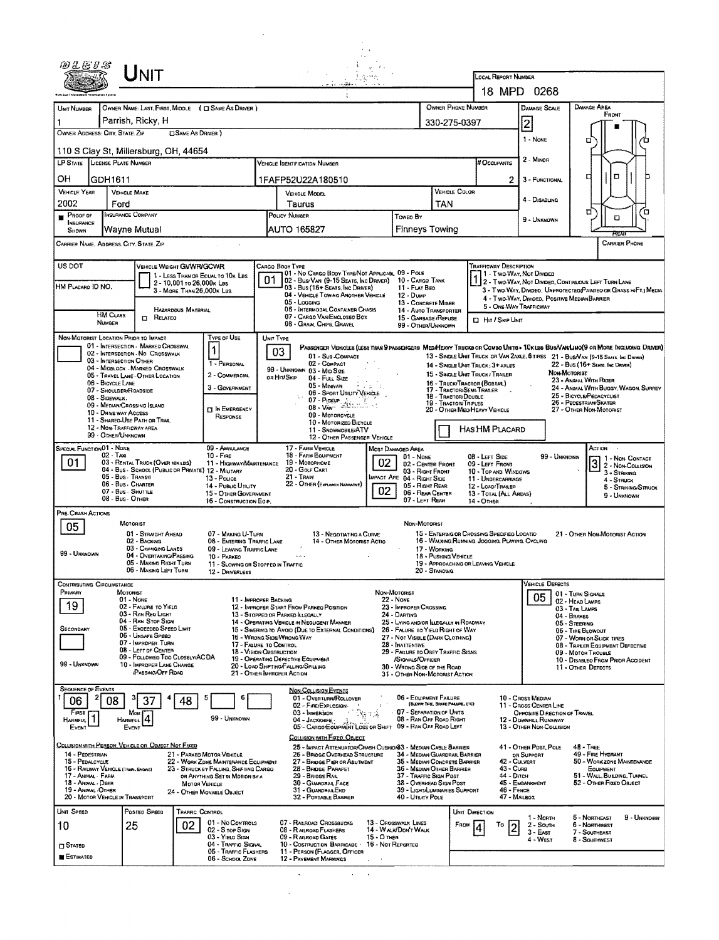|                                           |                           | UNIT                                                                                            |                              |                                                                          |                                                   |                                                                                                                                 |             |                                      |                                                                                                                 |               |                                                                                             |                            |                                                                                 |                                                   |                                                                                                                        |                                                                                     |
|-------------------------------------------|---------------------------|-------------------------------------------------------------------------------------------------|------------------------------|--------------------------------------------------------------------------|---------------------------------------------------|---------------------------------------------------------------------------------------------------------------------------------|-------------|--------------------------------------|-----------------------------------------------------------------------------------------------------------------|---------------|---------------------------------------------------------------------------------------------|----------------------------|---------------------------------------------------------------------------------|---------------------------------------------------|------------------------------------------------------------------------------------------------------------------------|-------------------------------------------------------------------------------------|
|                                           |                           |                                                                                                 |                              |                                                                          |                                                   | دستها المتورد                                                                                                                   |             |                                      |                                                                                                                 |               | LOCAL REPORT NUMBER                                                                         |                            | 18 MPD 0268                                                                     |                                                   |                                                                                                                        |                                                                                     |
| UNIT NUMBER                               |                           |                                                                                                 |                              | OWNER NAME: LAST, FIRST, MIDDLE ( C SAME AS DRIVER )                     |                                                   |                                                                                                                                 |             |                                      | OWNER PHONE NUMBER                                                                                              |               |                                                                                             |                            | <b>DAMAGE SCALE</b>                                                             |                                                   | DAMAGE AREA<br>FRONT                                                                                                   |                                                                                     |
| OWNER ADDRESS: CITY, STATE, ZIP           |                           | Parrish, Ricky, H                                                                               | <b>CISAME AS DRIVER</b> )    |                                                                          |                                                   |                                                                                                                                 |             |                                      | 330-275-0397                                                                                                    |               |                                                                                             |                            | $\overline{2}$<br>1 - None                                                      |                                                   | о                                                                                                                      |                                                                                     |
| LP STATE LICENSE PLATE NUMBER             |                           | 110 S Clay St, Millersburg, OH, 44654                                                           |                              |                                                                          |                                                   |                                                                                                                                 |             |                                      |                                                                                                                 |               | # Occupants                                                                                 |                            | 2 - MINOR                                                                       |                                                   |                                                                                                                        |                                                                                     |
| OН                                        | GDH1611                   |                                                                                                 |                              |                                                                          |                                                   | <b>VEHICLE IDENTIFICATION NUMBER</b><br>1FAFP52U22A180510                                                                       |             |                                      |                                                                                                                 |               |                                                                                             | 2                          | 3 - FUNCTIONAL                                                                  |                                                   | O<br>а                                                                                                                 |                                                                                     |
| <b>VEHICLE YEAR</b><br>2002               |                           | <b>VEHICLE MAKE</b>                                                                             |                              |                                                                          |                                                   | <b>VEHICLE MODEL</b>                                                                                                            |             |                                      |                                                                                                                 | VEHICLE COLOR |                                                                                             |                            | 4 - DISABUNG                                                                    |                                                   |                                                                                                                        |                                                                                     |
| PROOF OF<br><b>INSURANCE</b>              |                           | Ford<br><b>INSURANCE COMPANY</b>                                                                |                              |                                                                          |                                                   | Taurus<br>POLICY NUMBER                                                                                                         |             | Toweo By                             | TAN                                                                                                             |               |                                                                                             |                            | 9 - UNKNOWN                                                                     |                                                   | σ<br>ם                                                                                                                 | 'n                                                                                  |
| SHOWN                                     |                           | Wayne Mutual<br>CARRIER NAME, AppRESS, CITY, STATE, ZIP                                         |                              |                                                                          |                                                   | AUTO 165827                                                                                                                     |             |                                      | <b>Finneys Towing</b>                                                                                           |               |                                                                                             |                            |                                                                                 |                                                   |                                                                                                                        | CARRIER PHONE                                                                       |
| US DOT                                    |                           |                                                                                                 | VEHICLE WEIGHT GVWR/GCWR     |                                                                          | CARGO BOOY TYPE                                   |                                                                                                                                 |             |                                      |                                                                                                                 |               | Trafficway Description                                                                      |                            |                                                                                 |                                                   |                                                                                                                        |                                                                                     |
| HM PLACARD ID NO.                         |                           |                                                                                                 | 2 - 10,001 to 26,000x Les    | 1 - LESS THAN OR EQUAL TO 10K LBS                                        | 01                                                | 01 - No CARGO BODY TYPE/NOT APPLICABL 09 - POLE<br>02 - Bus/Van (9-15 Seats, Inc Driver)<br>03 - Bus (16+ Seats, Inc DRIVER)    |             | 11 - FLAT BED                        | 10 - CARGO TANK                                                                                                 |               |                                                                                             |                            | 11 - Two Way, Not Divideo                                                       |                                                   | 2 - Two-Way, Not Divideo, Continuous Left Turn Lane                                                                    |                                                                                     |
|                                           |                           |                                                                                                 | 3 - MORE THAN 26,000K LBS.   |                                                                          |                                                   | 04 - VEHICLE TOWING ANOTHER VEHICLE<br>$05 -$ LOGGING                                                                           |             | $12 - D$ uMP                         | 13 - CONCRETE MIXER                                                                                             |               |                                                                                             |                            | 4 - Two-Way, Divideo, Positive Median Barrier<br>5 - ONE-WAY TRAFFICWAY         |                                                   |                                                                                                                        | 3 - Two-Way, Divideo. Unprotected (Painteo or Grass > <ft.) media<="" td=""></ft.)> |
|                                           | <b>HM CLASS</b><br>NUMBER | O<br>RELATEO                                                                                    | HAZARDOUS MATERIAL           |                                                                          |                                                   | <b>06 - INTERMODAL CONTAINER CHASIS</b><br>07 - CARGO VAN ENCLOSEO BOX<br>08 - GRAIN, CHPS, GRAVEL                              |             |                                      | 14 - AUTO TRANSPORTER<br>15 - GARBAGE / REFUSE<br>99 - OTHER/UNKNOWN                                            |               | <b>D</b> Hit / Skip Unit                                                                    |                            |                                                                                 |                                                   |                                                                                                                        |                                                                                     |
|                                           |                           | NON-MOTORIST LOCATION PRIOR TO IMPACT<br>01 - INTERSECTION - MARKED CROSSWAL                    |                              | Type or Use                                                              | UNIT TYPE                                         | PASSENGER VEHICLES (LESS THAN 9 PASSENGERS MEDIHEAVY TRUCKS OR COMBO UNITS > 10KLBS BUS/VAN/LIMO(9 OR MORE INCLUDING DRIVER)    |             |                                      |                                                                                                                 |               |                                                                                             |                            |                                                                                 |                                                   |                                                                                                                        |                                                                                     |
|                                           |                           | 02 - INTERSECTION - NO CROSSWALK<br>03 - INTERSECTION OTHER<br>04 - MIDBLOCK - MARKED CROSSWALK |                              | 1<br>1 - PERSONAL                                                        | 03                                                | 01 - Sub-Compact<br>02 - COMPACT<br>99 - UNKNOWN 03 - MID SIZE                                                                  |             |                                      |                                                                                                                 |               | 14 - SINGLE UNIT TRUCK; 3+ AXLES                                                            |                            |                                                                                 |                                                   | 13 - SINGLE UNIT TRUCK OR VAN 2AXLE, 6 TIRES 21 - BUS/VAN (9-15 SEATS, INC DRIVER)<br>22 - Bus (16+ Seats, Inc Draver) |                                                                                     |
|                                           | 06 - BICYCLE LANE         | 05 - TRAVEL LANE - OTHER LOCATION<br>07 - SHOULDER/ROADSIDE                                     |                              | 2 - COMMERCIAL<br>3 - GOVERNMENT                                         | or Hit/Skip                                       | 04 - FULL SIZE<br>05 - Minivan                                                                                                  | in a colo   |                                      |                                                                                                                 |               | 15 - SINGLE UNIT TRUCK/ TRAILER<br>16 - Truck/Tractor (BOBTAR.)<br>17 - Tractor/Semi-Traler |                            |                                                                                 | NON-MOTORIST                                      | 23 - ANIMAL WITH RIDER                                                                                                 | 24 - ANDMAL WITH BUGGY, WAGON, SURREY                                               |
|                                           | 08 - SIDEWALK.            | 09 - MEDIAN/CROSSING ISLAND                                                                     |                              | <b>DIN EMERGENCY</b>                                                     |                                                   | 06 - Sport Utruty Vehicle<br>07 - Pickup<br>08 - Van 313                                                                        |             |                                      | 18 - TRACTOR/DOUBLE<br>19 - TRACTOR/TRIPLES                                                                     |               | 20 - OTHER MEDIHEAVY VEHICLE                                                                |                            |                                                                                 |                                                   | 25 - BICYCLE/PEDACYCLIST<br>26 - Peoestrian/Skater<br>27 - OTHER NON-MOTORIST                                          |                                                                                     |
|                                           |                           | 10 - DRNE WAY ACCESS<br>11 - SHARED-USE PATH OR TRAIL<br>12 - NON-TRAFFICWAY AREA               |                              | RESPONSE                                                                 |                                                   | 09 - MOTORCYCLE<br>10 - MOTORIZED BICYCLE<br>11 - SNOWMOBILE/ATV                                                                |             |                                      |                                                                                                                 |               | HAS HM PLACARD                                                                              |                            |                                                                                 |                                                   |                                                                                                                        |                                                                                     |
| <b>SPECIAL FUNCTION 01 - NONE</b>         | 99 - OTHER/UNKNOWN        |                                                                                                 |                              | 09 - AMBULANCE                                                           |                                                   | 12 - OTHER PASSENGER VEHICLE<br>17 - FARM VEHICLE                                                                               |             | Most Damaged Area                    |                                                                                                                 |               |                                                                                             |                            |                                                                                 |                                                   | ACTION                                                                                                                 |                                                                                     |
| 01                                        | 02 - Taxi                 | 03 - RENTAL TRUCK (OVER 10KLBS)<br>04 - BUS - SCHOOL (PUBLIC OR PRIVATE) 12 - MILITARY          |                              | $10 -$ Fine<br>11 - HIGHWAY/MAINTENANCE                                  |                                                   | 18 - FARM EQUIPMENT<br>19 - MOTORHOME<br>20 - Golf Cart                                                                         |             | 01 - NONE                            | 02 - CENTER FRONT<br>03 - Right Front                                                                           |               | 08 - LEFT SIDE<br>09 - LEFT FRONT<br>10 - Top and Windows                                   |                            |                                                                                 | 99 - Unknown                                      | 3 2- Non-Coursion<br>3 - Striking                                                                                      | 1 - Non-Contact                                                                     |
|                                           |                           | 05 - Bus. Transit<br>06 - Bus - Charter<br>07 - Bus - SHUTTLE                                   |                              | 13 - Pouce<br>14 - Pusuc Unury<br>15 - OTHER GOVERNMENT                  |                                                   | $21 -$ Train<br>22 - OTHER (EXPLAN IN NARRAINE)                                                                                 | 02          |                                      | MPACT ARE 04 - RIGHT SIDE<br>05 - Right Rear<br>06 - REAR CENTER                                                |               | 11 - UNDERCARRIAGE<br>12 - LOAD/TRAILER<br>13 - TOTAL (ALL AREAS)                           |                            |                                                                                 |                                                   | 4 - STRUCK                                                                                                             | 5 - STRIKING/STRUCK                                                                 |
| PRE-CRASH ACTIONS                         |                           | 08 - Bus - OTHER                                                                                |                              | 16 - CONSTRUCTION EQIP.                                                  |                                                   |                                                                                                                                 |             |                                      | 07 - LEFT REAR                                                                                                  |               | 14 - OTHER                                                                                  |                            |                                                                                 |                                                   | 9 - UNKNOWN                                                                                                            |                                                                                     |
| 05                                        |                           | MOTORIST<br>01 - STRAIGHT AHEAD                                                                 |                              | 07 - MAKING U-TURN                                                       |                                                   | 13 - NEGOTIATING A CURVE                                                                                                        |             |                                      | Non-Motorist                                                                                                    |               | 15 - ENTERING OR CROSSING SPECIFIED LOCATIO                                                 |                            |                                                                                 |                                                   | 21 - OTHER NON-MOTORIST ACTION                                                                                         |                                                                                     |
| 99 - Unknown                              |                           | 02 - BACKING<br>03 - CHANGING LANES<br>04 - OVERTAKING/PASSING                                  |                              | 08 - ENTERING TRAFFIC LANE<br>09 - LEAVING TRAFFIC LANE<br>10 - PARKEO   |                                                   | 14 - OTHER MOTORIST ACTIO<br>.                                                                                                  |             |                                      | 17 - WORKING<br>18 - PUSHING VEHICLE                                                                            |               | 16 - WALKING, RUNNING, JOGGING, PLAYING, CYCLING                                            |                            |                                                                                 |                                                   |                                                                                                                        |                                                                                     |
|                                           |                           | 05 - MAKING RIGHT TURN<br>06 - MAKING LEFT TURN                                                 |                              | 11 - SLOWING OR STOPPEO IN TRAFFIC<br>12 - DRIVERLESS                    |                                                   |                                                                                                                                 |             |                                      | 20 - Standing                                                                                                   |               | 19 - APPROACHING OR LEAVING VEHICLE                                                         |                            |                                                                                 |                                                   |                                                                                                                        |                                                                                     |
| CONTRIBUTING CIRCUMSTANCE<br>PRIMARY      |                           | MOTORIST                                                                                        |                              |                                                                          |                                                   |                                                                                                                                 |             | NON-MOTORIST                         |                                                                                                                 |               |                                                                                             |                            | <b>VEHICLE DEFECTS</b><br>05                                                    | 01 - TURN SIGNALS                                 |                                                                                                                        |                                                                                     |
| 19                                        |                           | 01 - None<br>02 - FAILURE TO YIELD<br>03 - RAN REO LIGHT                                        |                              |                                                                          | 11 - IMPROPER BACKING                             | 12 - IMPROPER START FROM PARKED POSITION<br>13 - STOPPEO OR PARKED ILLEGALLY                                                    |             | <b>22 - None</b><br>24 - DARTING     | 23 - IMPROPER CROSSING                                                                                          |               |                                                                                             |                            |                                                                                 | 02 - HEAD LAMPS<br>03 - TAIL LAMPS<br>04 - BRAKES |                                                                                                                        |                                                                                     |
| SECONDARY                                 |                           | 04 - RAN STOP SIGN<br>05 - Excesoso Speso Limit<br>06 - UNSAFE SPEED                            |                              |                                                                          | 16 - WRONG SIDE/WRONG WAY                         | 14 - OPERATING VEHICLE IN NEGLIGENT MANNER<br>15 - Swering to Avoid (Due to External Conditions)                                |             |                                      | 25 - LYING AND/OR ILLEGALLY IN ROADWAY<br>26 - FALURE TO YIELD RIGHT OF WAY<br>27 - Not Visible (DARK CLOTHING) |               |                                                                                             |                            |                                                                                 | 05 - STEERING<br>06 - TIRE BLOWOUT                | 07 - WORN OR SLICK TIRES                                                                                               |                                                                                     |
|                                           |                           | 07 - IMPROPER TURN<br>08 - LEFT DF CENTER<br>09 - FOLLOWED TOO CLOSELY/ACDA                     |                              |                                                                          | 17 - FALURE TO CONTROL<br>18 - VISION OBSTRUCTION | 19 - OPERATING DEFECTIVE EQUIPMENT                                                                                              |             | 28 - INATTENTIVE<br>/SIGNALS/OFFICER | 29 - FAILURE TO OBEY TRAFFIC SIGNS                                                                              |               |                                                                                             |                            |                                                                                 |                                                   | 08 - TRALER EQUIPMENT DEFECTIVE<br>09 - MOTOR TROUBLE<br>10 - DISABLEO FROM PRIOR ACCIDENT                             |                                                                                     |
| 99 - UNKNOWN                              |                           | 10 - IMPROPER LANE CHANGE<br>PASSING OFF ROAD                                                   |                              |                                                                          | 21 - OTHER IMPROPER ACTION                        | 20 - LOAO SHIFTINGIFALLING/SPILLING                                                                                             |             |                                      | 30 - WRONG SIDE OF THE ROAD<br>31 - OTHER NON-MOTORIST ACTION                                                   |               |                                                                                             |                            |                                                                                 |                                                   | 11 - OTHER DEFECTS                                                                                                     |                                                                                     |
| <b>SEQUENCE OF EVENTS</b><br>06           | 08                        | 37                                                                                              | 48                           |                                                                          |                                                   | <b>NON-COLLISION EVENTS</b><br>01 - OVERTURN/ROLLOVER                                                                           |             |                                      | 06 - EQUIPMENT FAILURE<br>(BLOWN TIRE, BRAKE FALLIRE, ETC)                                                      |               |                                                                                             |                            | 10 - Cross Median                                                               |                                                   |                                                                                                                        |                                                                                     |
| FIRST<br>HARMFUL                          |                           | Most<br>4<br><b>HARMFUL</b>                                                                     |                              | 99 - UNKNOWN                                                             |                                                   | 02 - FIRE/EXPLOSION-<br>03 - IMMERSION<br>04 - JACKKNIFE                                                                        | ٧ş          |                                      | 07 - SEPARATION OF UNITS<br>08 - RAN OFF ROAD RIGHT                                                             |               |                                                                                             |                            | 11 - Cross Center Line<br>OPPOSITE DIRECTION OF TRAVEL<br>12 - Downhill Runaway |                                                   |                                                                                                                        |                                                                                     |
| Event                                     |                           | Event                                                                                           |                              |                                                                          |                                                   | 05 - CARGO/EQUIPMENT LOSS OR SHIFT<br>COLLISION WITH FIXED OBJECT                                                               |             |                                      | 09 - RAN OFF ROAD LEFT                                                                                          |               |                                                                                             |                            | 13 - OTHER NON-COLUSION                                                         |                                                   |                                                                                                                        |                                                                                     |
| 14 - PEDESTRIAN<br>15 - PEDALCYCLE        |                           | COLUSION WITH PERSON, VEHICLE OR OBJECT NOT FIXED                                               |                              | 21 - PARKEO MOTOR VEHICLE<br>22 - WORK ZONE MAINTENANCE EQUIPMENT        |                                                   | 25 - IMPACT ATTENUATOR/CRASH CUSHIOI83 - MEDIAN CABLE BARRIER<br>26 - BRIDGE OVERHEAD STRUCTURE<br>27 - BRIDGE PIER OR ABUTMENT |             |                                      | 34 - MEDIAN GUARDRAIL BARRIER<br>35 - MEDIAN CONCRETE BARRIER                                                   |               |                                                                                             | 42 - CULVERT               | 41 - OTHER POST, POLE<br>OR SUPPORT                                             |                                                   | 48 - TREE<br>49 - FIRE HYDRANT<br>50 - WORK ZONE MAINTENANCE                                                           |                                                                                     |
| 17 - Animal - Farin<br>18 - Animal - Deer |                           | 16 - RAILWAY VEHICLE (TRAPA ENGINE)                                                             | MOTOR VEHICLE                | 23 - STRUCK BY FALLING, SHIFTING CARGO<br>OR ANYTHING SET IN MOTION BY A |                                                   | 28 - BROGE PARAPET<br>29 - BRIDGE RAIL<br>30 - GUARDRAIL FACE                                                                   |             |                                      | 36 - Median Other Barrier<br>37 - Traffic Sign Post<br>38 - Overhead Sign Post                                  |               |                                                                                             | 43 - Cuna<br>44 - Опсн     | 45 - EMBANKMENT                                                                 |                                                   | EQUIPMENT<br>51 - WALL, BUILDING, TUNNEL<br>52 - OTHER FIXED OBJECT                                                    |                                                                                     |
| 19 - ANIMAL - OTHER                       |                           | 20 - MOTOR VEHICLE IN TRANSPORT                                                                 |                              | 24 - OTHER MOVABLE OBJECT                                                |                                                   | 31 - GUARDRAILEND<br>32 - PORTABLE BARRIER                                                                                      |             |                                      | 39 - LIGHT/LUMINARIES SUPPORT<br>40 - Utility Pole                                                              |               |                                                                                             | 46 - FENCE<br>47 - MAILBOX |                                                                                 |                                                   |                                                                                                                        |                                                                                     |
| UNIT SPEED<br>10                          |                           | Posteo Speed<br>25                                                                              | <b>TRAFFIC CONTROL</b><br>02 | 01 - No CONTROLS                                                         |                                                   | 07 - RAILROAD CROSSBUCKS                                                                                                        |             | 13 - Crosswalk Lines                 |                                                                                                                 | FROM          | UNIT DIRECTION<br>То                                                                        |                            | 1 - Norm<br>2 - South                                                           |                                                   | 5 - Northeast<br>6 - NORTHWEST                                                                                         | 9 - UNKNOWN                                                                         |
| $\square$ Stated                          |                           |                                                                                                 |                              | 02 - S TOP SIGN<br>03 - YIELD SIGN<br>04 - TRAFFIC SIGNAL                |                                                   | 08 - RAILROAD FLASHERS<br>09 - RALROAD GATES<br>10 - COSTRUCTION BARRICADE 16 - NOT REPORTED                                    | 15 - О тнев | 14 - WALK/DON'T WALK                 |                                                                                                                 |               |                                                                                             |                            | 3 - East<br>4 - West                                                            |                                                   | 7 - SOUTHEAST<br>8 - Southwest                                                                                         |                                                                                     |
| <b>ESTIMATED</b>                          |                           |                                                                                                 |                              | 05 - TRAFFIC FLASHERS<br>06 - School Zone                                |                                                   | 11 - PERSON (FLAGGER, OFFICER<br><b>12 - PAVEMENT MARKINGS</b>                                                                  |             |                                      |                                                                                                                 |               |                                                                                             |                            |                                                                                 |                                                   |                                                                                                                        |                                                                                     |
|                                           |                           |                                                                                                 |                              |                                                                          |                                                   |                                                                                                                                 |             |                                      |                                                                                                                 |               |                                                                                             |                            |                                                                                 |                                                   |                                                                                                                        |                                                                                     |